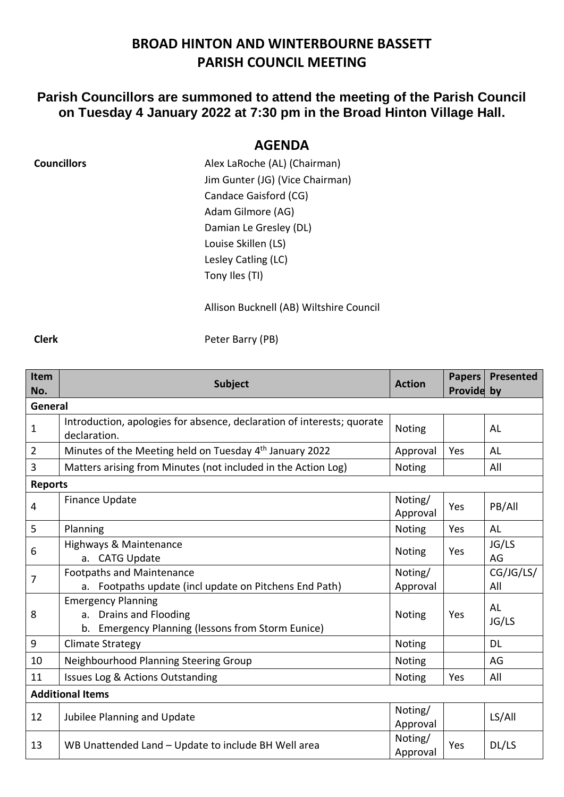## **BROAD HINTON AND WINTERBOURNE BASSETT PARISH COUNCIL MEETING**

## **Parish Councillors are summoned to attend the meeting of the Parish Council on Tuesday 4 January 2022 at 7:30 pm in the Broad Hinton Village Hall.**

## **AGENDA**

| <b>Councillors</b> | Alex LaRoche (AL) (Chairman)    |
|--------------------|---------------------------------|
|                    | Jim Gunter (JG) (Vice Chairman) |
|                    | Candace Gaisford (CG)           |
|                    | Adam Gilmore (AG)               |
|                    | Damian Le Gresley (DL)          |
|                    | Louise Skillen (LS)             |
|                    | Lesley Catling (LC)             |
|                    | Tony Iles (TI)                  |
|                    |                                 |

Allison Bucknell (AB) Wiltshire Council

**Clerk** Peter Barry (PB)

| Item                    | <b>Subject</b>                                                         | <b>Action</b>       | <b>Papers</b> | <b>Presented</b> |  |  |
|-------------------------|------------------------------------------------------------------------|---------------------|---------------|------------------|--|--|
| General                 | Provide by<br>No.                                                      |                     |               |                  |  |  |
|                         | Introduction, apologies for absence, declaration of interests; quorate |                     |               |                  |  |  |
| $\mathbf 1$             | declaration.                                                           | Noting              |               | AL               |  |  |
| $\overline{2}$          | Minutes of the Meeting held on Tuesday 4th January 2022                | Approval            | Yes           | AL               |  |  |
| $\overline{3}$          | Matters arising from Minutes (not included in the Action Log)          | <b>Noting</b>       |               | All              |  |  |
| <b>Reports</b>          |                                                                        |                     |               |                  |  |  |
| 4                       | <b>Finance Update</b>                                                  | Noting/<br>Approval | Yes           | PB/All           |  |  |
| 5                       | Planning                                                               | Noting              | Yes           | <b>AL</b>        |  |  |
| 6                       | Highways & Maintenance                                                 | <b>Noting</b>       | Yes           | JG/LS            |  |  |
|                         | a. CATG Update                                                         |                     |               | AG               |  |  |
| $\overline{7}$          | <b>Footpaths and Maintenance</b>                                       | Noting/             |               | CG/JG/LS/        |  |  |
|                         | a. Footpaths update (incl update on Pitchens End Path)                 | Approval            |               | All              |  |  |
| 8                       | <b>Emergency Planning</b>                                              |                     |               | AL               |  |  |
|                         | a. Drains and Flooding                                                 | <b>Noting</b>       | Yes           | JG/LS            |  |  |
|                         | <b>Emergency Planning (lessons from Storm Eunice)</b><br>b.            |                     |               |                  |  |  |
| $\boldsymbol{9}$        | <b>Climate Strategy</b>                                                | Noting              |               | <b>DL</b>        |  |  |
| 10                      | Neighbourhood Planning Steering Group                                  | Noting              |               | AG               |  |  |
| 11                      | Issues Log & Actions Outstanding                                       | <b>Noting</b>       | Yes           | All              |  |  |
| <b>Additional Items</b> |                                                                        |                     |               |                  |  |  |
| 12                      |                                                                        | Noting/             |               | LS/All           |  |  |
|                         | Jubilee Planning and Update                                            |                     |               |                  |  |  |
| 13                      | WB Unattended Land - Update to include BH Well area                    |                     | Yes           | DL/LS            |  |  |